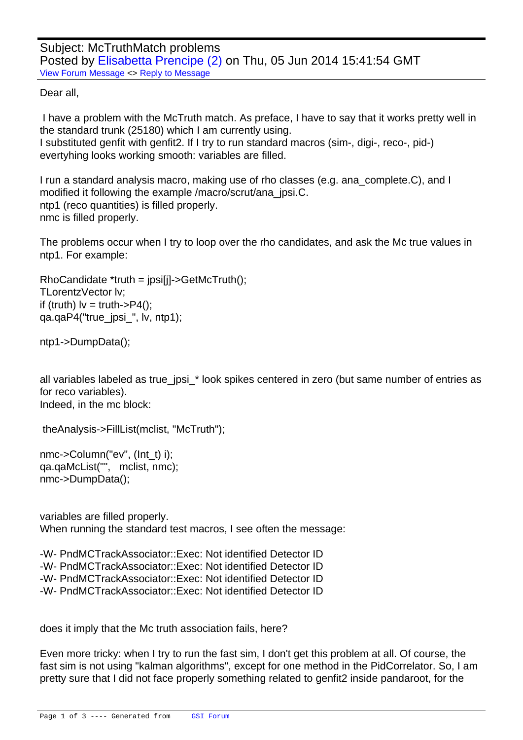Dear all,

 [I have a problem w](https://forum.gsi.de/index.php?t=rview&th=4313&goto=16775#msg_16775)it[h the McTruth m](https://forum.gsi.de/index.php?t=post&reply_to=16775)atch. As preface, I have to say that it works pretty well in the standard trunk (25180) which I am currently using. I substituted genfit with genfit2. If I try to run standard macros (sim-, digi-, reco-, pid-) evertyhing looks working smooth: variables are filled.

I run a standard analysis macro, making use of rho classes (e.g. ana complete.C), and I modified it following the example /macro/scrut/ana\_jpsi.C. ntp1 (reco quantities) is filled properly. nmc is filled properly.

The problems occur when I try to loop over the rho candidates, and ask the Mc true values in ntp1. For example:

 RhoCandidate \*truth = jpsi[j]->GetMcTruth(); TLorentzVector lv; if (truth)  $I_v = \text{truth} > P4()$ ; qa.qaP4("true\_jpsi\_", lv, ntp1);

 ntp1->DumpData();

all variables labeled as true\_jpsi\_\* look spikes centered in zero (but same number of entries as for reco variables). Indeed, in the mc block:

```
	 	theAnalysis->FillList(mclist, "McTruth");
```
 nmc->Column("ev", (Int\_t) i); qa.qaMcList("", mclist, nmc); nmc->DumpData();

variables are filled properly. When running the standard test macros, I see often the message:

-W- PndMCTrackAssociator::Exec: Not identified Detector ID -W- PndMCTrackAssociator::Exec: Not identified Detector ID -W- PndMCTrackAssociator::Exec: Not identified Detector ID -W- PndMCTrackAssociator::Exec: Not identified Detector ID

does it imply that the Mc truth association fails, here?

Even more tricky: when I try to run the fast sim, I don't get this problem at all. Of course, the fast sim is not using "kalman algorithms", except for one method in the PidCorrelator. So, I am pretty sure that I did not face properly something related to genfit2 inside pandaroot, for the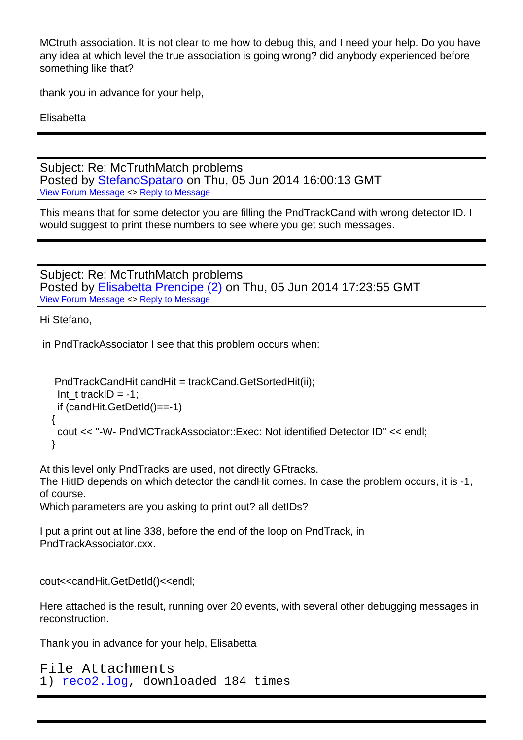MCtruth association. It is not clear to me how to debug this, and I need your help. Do you have any idea at which level the true association is going wrong? did anybody experienced before something like that?

thank you in advance for your help,

**Elisabetta** 

Subject: Re: McTruthMatch problems Posted by StefanoSpataro on Thu, 05 Jun 2014 16:00:13 GMT View Forum Message <> Reply to Message

This means that for some detector you are filling the PndTrackCand with wrong detector ID. I would sugg[est to print these nu](https://forum.gsi.de/index.php?t=usrinfo&id=306)mbers to see where you get such messages.

Subject: Re: McTruthMatch problems Posted by Elisabetta Prencipe (2) on Thu, 05 Jun 2014 17:23:55 GMT View Forum Message <> Reply to Message

Hi Stefano,

 [in PndTrackAssoc](https://forum.gsi.de/index.php?t=rview&th=4313&goto=16777#msg_16777)iat[or I see that this](https://forum.gsi.de/index.php?t=post&reply_to=16777) problem occurs when:

```
 PndTrackCandHit candHit = trackCand.GetSortedHit(ii);
Int_t trackID = -1;
 if (candHit.GetDetId()==-1)
	 {
 	 cout << "-W- PndMCTrackAssociator::Exec: Not identified Detector ID" << endl;
	 }
```
At this level only PndTracks are used, not directly GFtracks.

The HitID depends on which detector the candHit comes. In case the problem occurs, it is -1, of course.

Which parameters are you asking to print out? all detIDs?

I put a print out at line 338, before the end of the loop on PndTrack, in PndTrackAssociator.cxx.

cout<<candHit.GetDetId()<<endl;

Here attached is the result, running over 20 events, with several other debugging messages in reconstruction.

Thank you in advance for your help, Elisabetta

```
File Attachments
1) reco2.log, downloaded 184 times
```